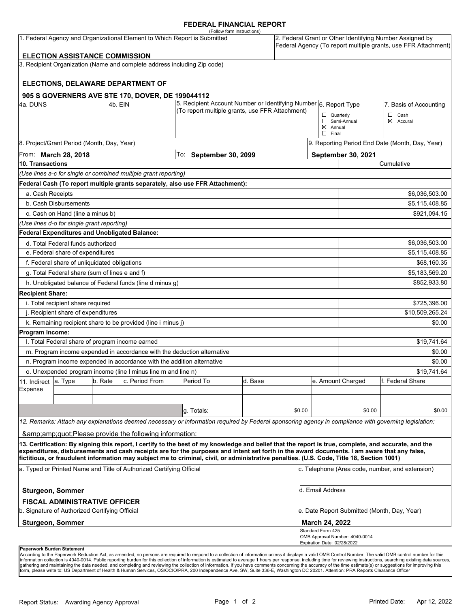#### **FEDERAL FINANCIAL REPORT**

|                                                                         |                                                                 |         | 1. Federal Agency and Organizational Element to Which Report is Submitted | (Follow form instructions)                                                                                                                                                                                                                                                              |                            |        |                                                 |                                                 | 2. Federal Grant or Other Identifying Number Assigned by<br>Federal Agency (To report multiple grants, use FFR Attachment) |  |
|-------------------------------------------------------------------------|-----------------------------------------------------------------|---------|---------------------------------------------------------------------------|-----------------------------------------------------------------------------------------------------------------------------------------------------------------------------------------------------------------------------------------------------------------------------------------|----------------------------|--------|-------------------------------------------------|-------------------------------------------------|----------------------------------------------------------------------------------------------------------------------------|--|
|                                                                         | <b>ELECTION ASSISTANCE COMMISSION</b>                           |         |                                                                           |                                                                                                                                                                                                                                                                                         |                            |        |                                                 |                                                 |                                                                                                                            |  |
|                                                                         |                                                                 |         | 3. Recipient Organization (Name and complete address including Zip code)  |                                                                                                                                                                                                                                                                                         |                            |        |                                                 |                                                 |                                                                                                                            |  |
|                                                                         |                                                                 |         |                                                                           |                                                                                                                                                                                                                                                                                         |                            |        |                                                 |                                                 |                                                                                                                            |  |
|                                                                         |                                                                 |         | ELECTIONS, DELAWARE DEPARTMENT OF                                         |                                                                                                                                                                                                                                                                                         |                            |        |                                                 |                                                 |                                                                                                                            |  |
|                                                                         |                                                                 |         |                                                                           |                                                                                                                                                                                                                                                                                         |                            |        |                                                 |                                                 |                                                                                                                            |  |
| 4a. DUNS                                                                |                                                                 | 4b. EIN | 905 S GOVERNERS AVE STE 170, DOVER, DE 199044112                          | 5. Recipient Account Number or Identifying Number 6. Report Type                                                                                                                                                                                                                        |                            |        |                                                 |                                                 | 7. Basis of Accounting                                                                                                     |  |
|                                                                         |                                                                 |         |                                                                           | (To report multiple grants, use FFR Attachment)                                                                                                                                                                                                                                         |                            |        |                                                 |                                                 |                                                                                                                            |  |
|                                                                         |                                                                 |         |                                                                           |                                                                                                                                                                                                                                                                                         |                            |        | $\Box$ Quarterly                                | Semi-Annual                                     | $\Box$ Cash<br>$\boxtimes$ Accural                                                                                         |  |
|                                                                         |                                                                 |         |                                                                           |                                                                                                                                                                                                                                                                                         |                            |        | $\boxtimes$ Annual<br>$\Box$ Final              |                                                 |                                                                                                                            |  |
|                                                                         |                                                                 |         |                                                                           |                                                                                                                                                                                                                                                                                         |                            |        |                                                 | 9. Reporting Period End Date (Month, Day, Year) |                                                                                                                            |  |
| 8. Project/Grant Period (Month, Day, Year)                              |                                                                 |         |                                                                           |                                                                                                                                                                                                                                                                                         | $ $ To: September 30, 2099 |        |                                                 | September 30, 2021                              |                                                                                                                            |  |
| From: <b>March 28, 2018</b><br>10. Transactions                         |                                                                 |         |                                                                           |                                                                                                                                                                                                                                                                                         |                            |        | Cumulative                                      |                                                 |                                                                                                                            |  |
|                                                                         |                                                                 |         | (Use lines a-c for single or combined multiple grant reporting)           |                                                                                                                                                                                                                                                                                         |                            |        |                                                 |                                                 |                                                                                                                            |  |
|                                                                         |                                                                 |         |                                                                           | Federal Cash (To report multiple grants separately, also use FFR Attachment):                                                                                                                                                                                                           |                            |        |                                                 |                                                 |                                                                                                                            |  |
|                                                                         |                                                                 |         |                                                                           |                                                                                                                                                                                                                                                                                         |                            |        |                                                 |                                                 |                                                                                                                            |  |
| a. Cash Receipts                                                        |                                                                 |         |                                                                           |                                                                                                                                                                                                                                                                                         |                            |        |                                                 |                                                 | \$6,036,503.00                                                                                                             |  |
| b. Cash Disbursements                                                   |                                                                 |         |                                                                           |                                                                                                                                                                                                                                                                                         |                            |        | \$5,115,408.85                                  |                                                 |                                                                                                                            |  |
| c. Cash on Hand (line a minus b)<br>\$921,094.15                        |                                                                 |         |                                                                           |                                                                                                                                                                                                                                                                                         |                            |        |                                                 |                                                 |                                                                                                                            |  |
|                                                                         | (Use lines d-o for single grant reporting)                      |         |                                                                           |                                                                                                                                                                                                                                                                                         |                            |        |                                                 |                                                 |                                                                                                                            |  |
|                                                                         | <b>Federal Expenditures and Unobligated Balance:</b>            |         |                                                                           |                                                                                                                                                                                                                                                                                         |                            |        |                                                 |                                                 |                                                                                                                            |  |
|                                                                         | d. Total Federal funds authorized                               |         |                                                                           |                                                                                                                                                                                                                                                                                         |                            |        |                                                 | \$6,036,503.00                                  |                                                                                                                            |  |
| e. Federal share of expenditures                                        |                                                                 |         |                                                                           |                                                                                                                                                                                                                                                                                         |                            |        |                                                 |                                                 | \$5,115,408.85                                                                                                             |  |
|                                                                         | f. Federal share of unliquidated obligations<br>\$68,160.35     |         |                                                                           |                                                                                                                                                                                                                                                                                         |                            |        |                                                 |                                                 |                                                                                                                            |  |
|                                                                         | g. Total Federal share (sum of lines e and f)<br>\$5,183,569.20 |         |                                                                           |                                                                                                                                                                                                                                                                                         |                            |        |                                                 |                                                 |                                                                                                                            |  |
|                                                                         |                                                                 |         | h. Unobligated balance of Federal funds (line d minus g)                  |                                                                                                                                                                                                                                                                                         |                            |        |                                                 |                                                 | \$852,933.80                                                                                                               |  |
| <b>Recipient Share:</b>                                                 |                                                                 |         |                                                                           |                                                                                                                                                                                                                                                                                         |                            |        |                                                 |                                                 |                                                                                                                            |  |
| i. Total recipient share required                                       |                                                                 |         |                                                                           |                                                                                                                                                                                                                                                                                         |                            |        |                                                 | \$725,396.00                                    |                                                                                                                            |  |
| j. Recipient share of expenditures                                      |                                                                 |         |                                                                           |                                                                                                                                                                                                                                                                                         |                            |        |                                                 | \$10,509,265.24                                 |                                                                                                                            |  |
|                                                                         |                                                                 |         | k. Remaining recipient share to be provided (line i minus j)              |                                                                                                                                                                                                                                                                                         |                            |        |                                                 |                                                 | \$0.00                                                                                                                     |  |
| <b>Program Income:</b>                                                  |                                                                 |         |                                                                           |                                                                                                                                                                                                                                                                                         |                            |        |                                                 |                                                 |                                                                                                                            |  |
| I. Total Federal share of program income earned                         |                                                                 |         |                                                                           |                                                                                                                                                                                                                                                                                         |                            |        |                                                 |                                                 | \$19,741.64                                                                                                                |  |
| m. Program income expended in accordance with the deduction alternative |                                                                 |         |                                                                           |                                                                                                                                                                                                                                                                                         |                            |        |                                                 | \$0.00                                          |                                                                                                                            |  |
| n. Program income expended in accordance with the addition alternative  |                                                                 |         |                                                                           |                                                                                                                                                                                                                                                                                         |                            |        |                                                 |                                                 | \$0.00                                                                                                                     |  |
| o. Unexpended program income (line I minus line m and line n)           |                                                                 |         |                                                                           |                                                                                                                                                                                                                                                                                         |                            |        |                                                 | \$19,741.64                                     |                                                                                                                            |  |
| 11. Indirect                                                            | a. Type                                                         | b. Rate | c. Period From                                                            | Period To                                                                                                                                                                                                                                                                               | d. Base                    |        |                                                 | e. Amount Charged                               | f. Federal Share                                                                                                           |  |
| Expense                                                                 |                                                                 |         |                                                                           |                                                                                                                                                                                                                                                                                         |                            |        |                                                 |                                                 |                                                                                                                            |  |
|                                                                         |                                                                 |         |                                                                           |                                                                                                                                                                                                                                                                                         |                            |        |                                                 |                                                 |                                                                                                                            |  |
|                                                                         |                                                                 |         |                                                                           | g. Totals:                                                                                                                                                                                                                                                                              |                            | \$0.00 |                                                 | \$0.00                                          | \$0.00                                                                                                                     |  |
|                                                                         |                                                                 |         |                                                                           | 12. Remarks: Attach any explanations deemed necessary or information required by Federal sponsoring agency in compliance with governing legislation:                                                                                                                                    |                            |        |                                                 |                                                 |                                                                                                                            |  |
|                                                                         |                                                                 |         | "Please provide the following information:                                |                                                                                                                                                                                                                                                                                         |                            |        |                                                 |                                                 |                                                                                                                            |  |
|                                                                         |                                                                 |         |                                                                           | 13. Certification: By signing this report, I certify to the best of my knowledge and belief that the report is true, complete, and accurate, and the                                                                                                                                    |                            |        |                                                 |                                                 |                                                                                                                            |  |
|                                                                         |                                                                 |         |                                                                           | expenditures, disbursements and cash receipts are for the purposes and intent set forth in the award documents. I am aware that any false,<br>fictitious, or fraudulent information may subject me to criminal, civil, or administrative penalties. (U.S. Code, Title 18, Section 1001) |                            |        |                                                 |                                                 |                                                                                                                            |  |
| a. Typed or Printed Name and Title of Authorized Certifying Official    |                                                                 |         |                                                                           |                                                                                                                                                                                                                                                                                         |                            |        | c. Telephone (Area code, number, and extension) |                                                 |                                                                                                                            |  |
| <b>Sturgeon, Sommer</b>                                                 |                                                                 |         |                                                                           |                                                                                                                                                                                                                                                                                         |                            |        | d. Email Address                                |                                                 |                                                                                                                            |  |
|                                                                         | <b>FISCAL ADMINISTRATIVE OFFICER</b>                            |         |                                                                           |                                                                                                                                                                                                                                                                                         |                            |        |                                                 |                                                 |                                                                                                                            |  |
| b. Signature of Authorized Certifying Official                          |                                                                 |         |                                                                           |                                                                                                                                                                                                                                                                                         |                            |        |                                                 | e. Date Report Submitted (Month, Day, Year)     |                                                                                                                            |  |
| <b>Sturgeon, Sommer</b><br><b>March 24, 2022</b>                        |                                                                 |         |                                                                           |                                                                                                                                                                                                                                                                                         |                            |        |                                                 |                                                 |                                                                                                                            |  |
|                                                                         |                                                                 |         |                                                                           |                                                                                                                                                                                                                                                                                         |                            |        | Standard Form 425                               | OMB Approval Number: 4040-0014                  |                                                                                                                            |  |
| <b>Panerwork Burden Statement</b>                                       |                                                                 |         |                                                                           |                                                                                                                                                                                                                                                                                         |                            |        | Expiration Date: 02/28/2022                     |                                                 |                                                                                                                            |  |

**Paperwork Burden Statement**<br>According to the Paperwork Reduction Act, as amended, no persons are required to respond to a collection of information unless it displays a valid OMB Control Number. The valid OMB control numb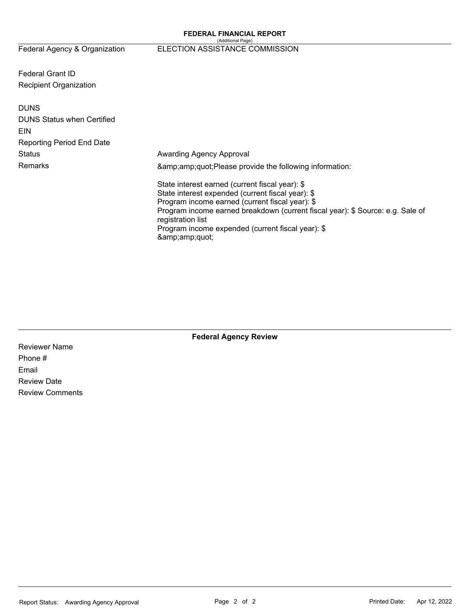# Federal Agency & Organization ELECTION ASSISTANCE COMMISSION

Federal Grant ID Recipient Organization

| <b>DUNS</b><br><b>DUNS Status when Certified</b><br>EIN<br><b>Reporting Period End Date</b> |                                                                                                                                                                                                                                                                                                                          |  |  |  |  |
|---------------------------------------------------------------------------------------------|--------------------------------------------------------------------------------------------------------------------------------------------------------------------------------------------------------------------------------------------------------------------------------------------------------------------------|--|--|--|--|
| Status                                                                                      | Awarding Agency Approval                                                                                                                                                                                                                                                                                                 |  |  |  |  |
| Remarks                                                                                     | "Please provide the following information:                                                                                                                                                                                                                                                                               |  |  |  |  |
|                                                                                             | State interest earned (current fiscal year): \$<br>State interest expended (current fiscal year): \$<br>Program income earned (current fiscal year): \$<br>Program income earned breakdown (current fiscal year): \$ Source: e.g. Sale of<br>registration list<br>Program income expended (current fiscal year): \$<br>" |  |  |  |  |

**Federal Agency Review** 

Reviewer Name Phone # Email Review Date Review Comments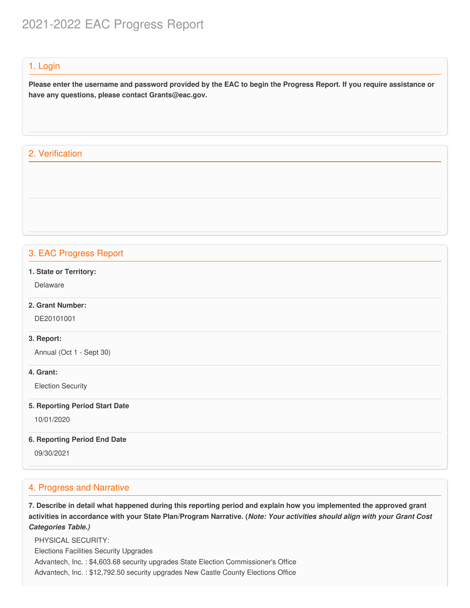# 2021-2022 EAC Progress Report

#### 1. Login

Please enter the username and password provided by the EAC to begin the Progress Report. If you require assistance or  **have any questions, please contact [Grants@eac.gov](mailto:Grants@eac.gov).**

# 2. Verification

# 3. EAC Progress Report

#### **1. State or Territory:**

Delaware

# **2. Grant Number:**

DE20101001

#### **3. Report:**

Annual (Oct 1 - Sept 30)

#### **4. Grant:**

Election Security

#### **5. Reporting Period Start Date**

10/01/2020

#### **6. Reporting Period End Date**

09/30/2021

## 4. Progress and Narrative

7. Describe in detail what happened during this reporting period and explain how you implemented the approved grant activities in accordance with your State Plan/Program Narrative. (*Note: Your activities should align with your Grant Cost Categories Table.)*

 Elections Facilities Security Upgrades Advantech, Inc. : [\\$4,603.68](https://4,603.68) security upgrades State Election Commissioner's Office Advantech, Inc. : \$[12,792.50](https://12,792.50) security upgrades New Castle County Elections OfficePHYSICAL SECURITY: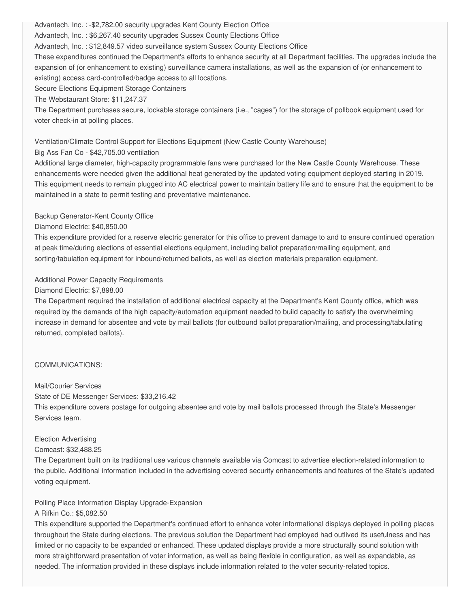Advantech, Inc. : -[\\$2,782.00](https://2,782.00) security upgrades Kent County Election Office

Advantech, Inc. : \$[6,267.40](https://6,267.40) security upgrades Sussex County Elections Office

Advantech, Inc. : [\\$12,849.57](https://12,849.57) video surveillance system Sussex County Elections Office

 These expenditures continued the Department's efforts to enhance security at all Department facilities. The upgrades include the expansion of (or enhancement to existing) surveillance camera installations, as well as the expansion of (or enhancement to existing) access card-controlled/badge access to all locations.

Secure Elections Equipment Storage Containers

The Webstaurant Store: [\\$11,247.37](https://11,247.37)

 The Department purchases secure, lockable storage containers (i.e., "cages") for the storage of pollbook equipment used for voter check-in at polling places.

## Ventilation/Climate Control Support for Elections Equipment (New Castle County Warehouse)

## Big Ass Fan Co - [\\$42,705.00](https://42,705.00) ventilation

 Additional large diameter, high-capacity programmable fans were purchased for the New Castle County Warehouse. These enhancements were needed given the additional heat generated by the updated voting equipment deployed starting in 2019. This equipment needs to remain plugged into AC electrical power to maintain battery life and to ensure that the equipment to be maintained in a state to permit testing and preventative maintenance.

## Backup Generator-Kent County Office

## Diamond Electric: \$[40,850.00](https://40,850.00)

 This expenditure provided for a reserve electric generator for this office to prevent damage to and to ensure continued operation at peak time/during elections of essential elections equipment, including ballot preparation/mailing equipment, and sorting/tabulation equipment for inbound/returned ballots, as well as election materials preparation equipment.

# Additional Power Capacity Requirements

# Diamond Electric: \$[7,898.00](https://7,898.00)

 The Department required the installation of additional electrical capacity at the Department's Kent County office, which was required by the demands of the high capacity/automation equipment needed to build capacity to satisfy the overwhelming increase in demand for absentee and vote by mail ballots (for outbound ballot preparation/mailing, and processing/tabulating returned, completed ballots).

# COMMUNICATIONS:

## Mail/Courier Services

State of DE Messenger Services: [\\$33,216.42](https://33,216.42)

 This expenditure covers postage for outgoing absentee and vote by mail ballots processed through the State's Messenger Services team.

## Election Advertising

## Comcast: \$[32,488.25](https://32,488.25)

 The Department built on its traditional use various channels available via Comcast to advertise election-related information to the public. Additional information included in the advertising covered security enhancements and features of the State's updated voting equipment.

 Polling Place Information Display Upgrade-Expansion A Rifkin Co.: \$[5,082.50](https://5,082.50)

 This expenditure supported the Department's continued effort to enhance voter informational displays deployed in polling places throughout the State during elections. The previous solution the Department had employed had outlived its usefulness and has limited or no capacity to be expanded or enhanced. These updated displays provide a more structurally sound solution with more straightforward presentation of voter information, as well as being flexible in configuration, as well as expandable, as needed. The information provided in these displays include information related to the voter security-related topics.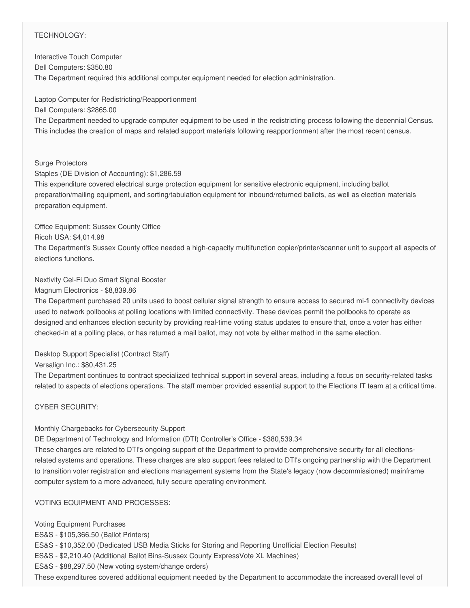## TECHNOLOGY:

 Interactive Touch Computer The Department required this additional computer equipment needed for election administration. Dell Computers: \$350.80

 Laptop Computer for Redistricting/Reapportionment The Department needed to upgrade computer equipment to be used in the redistricting process following the decennial Census. This includes the creation of maps and related support materials following reapportionment after the most recent census. Dell Computers: \$2865.00

#### Surge Protectors

Staples (DE Division of Accounting): \$[1,286.59](https://1,286.59)

 This expenditure covered electrical surge protection equipment for sensitive electronic equipment, including ballot preparation/mailing equipment, and sorting/tabulation equipment for inbound/returned ballots, as well as election materials preparation equipment.

#### Office Equipment: Sussex County Office

Ricoh USA: [\\$4,014.98](https://4,014.98)

 The Department's Sussex County office needed a high-capacity multifunction copier/printer/scanner unit to support all aspects of elections functions.

#### Nextivity Cel-Fi Duo Smart Signal Booster

Magnum Electronics - \$[8,839.86](https://8,839.86)

 The Department purchased 20 units used to boost cellular signal strength to ensure access to secured mi-fi connectivity devices used to network pollbooks at polling locations with limited connectivity. These devices permit the pollbooks to operate as designed and enhances election security by providing real-time voting status updates to ensure that, once a voter has either checked-in at a polling place, or has returned a mail ballot, may not vote by either method in the same election.

## Desktop Support Specialist (Contract Staff)

Versalign Inc.: \$[80,431.25](https://80,431.25)

 The Department continues to contract specialized technical support in several areas, including a focus on security-related tasks related to aspects of elections operations. The staff member provided essential support to the Elections IT team at a critical time.

## CYBER SECURITY:

## Monthly Chargebacks for Cybersecurity Support

DE Department of Technology and Information (DTI) Controller's Office - \$[380,539.34](https://380,539.34)

 These charges are related to DTI's ongoing support of the Department to provide comprehensive security for all elections- related systems and operations. These charges are also support fees related to DTI's ongoing partnership with the Department to transition voter registration and elections management systems from the State's legacy (now decommissioned) mainframe computer system to a more advanced, fully secure operating environment.

#### VOTING EQUIPMENT AND PROCESSES:

 Voting Equipment Purchases ES&S - \$[105,366.50](https://105,366.50) (Ballot Printers) ES&S - \$[10,352.00](https://10,352.00) (Dedicated USB Media Sticks for Storing and Reporting Unofficial Election Results) ES&S - \$[2,210.40](https://2,210.40) (Additional Ballot Bins-Sussex County ExpressVote XL Machines) ES&S - \$[88,297.50](https://88,297.50) (New voting system/change orders) These expenditures covered additional equipment needed by the Department to accommodate the increased overall level of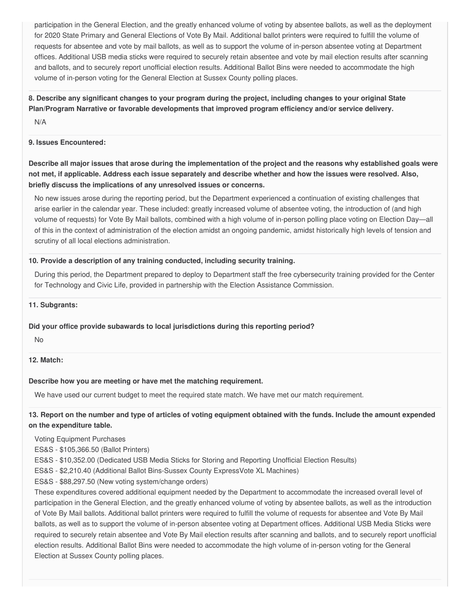participation in the General Election, and the greatly enhanced volume of voting by absentee ballots, as well as the deployment for 2020 State Primary and General Elections of Vote By Mail. Additional ballot printers were required to fulfill the volume of requests for absentee and vote by mail ballots, as well as to support the volume of in-person absentee voting at Department offices. Additional USB media sticks were required to securely retain absentee and vote by mail election results after scanning and ballots, and to securely report unofficial election results. Additional Ballot Bins were needed to accommodate the high volume of in-person voting for the General Election at Sussex County polling places.

# 8. Describe any significant changes to your program during the project, including changes to your original State  **Plan/Program Narrative or favorable developments that improved program efficiency and/or service delivery.**

N/A

#### **9. Issues Encountered:**

Describe all major issues that arose during the implementation of the project and the reasons why established goals were not met, if applicable. Address each issue separately and describe whether and how the issues were resolved. Also,  **briefly discuss the implications of any unresolved issues or concerns.**

 No new issues arose during the reporting period, but the Department experienced a continuation of existing challenges that arise earlier in the calendar year. These included: greatly increased volume of absentee voting, the introduction of (and high volume of requests) for Vote By Mail ballots, combined with a high volume of in-person polling place voting on Election Day—all of this in the context of administration of the election amidst an ongoing pandemic, amidst historically high levels of tension and scrutiny of all local elections administration.

## **10. Provide a description of any training conducted, including security training.**

 During this period, the Department prepared to deploy to Department staff the free cybersecurity training provided for the Center for Technology and Civic Life, provided in partnership with the Election Assistance Commission.

## **11. Subgrants:**

## **Did your office provide subawards to local jurisdictions during this reporting period?**

No

#### **12. Match:**

#### **Describe how you are meeting or have met the matching requirement.**

We have used our current budget to meet the required state match. We have met our match requirement.

13. Report on the number and type of articles of voting equipment obtained with the funds. Include the amount expended  **on the expenditure table.**

Voting Equipment Purchases

ES&S - \$[105,366.50](https://105,366.50) (Ballot Printers)

ES&S - \$[10,352.00](https://10,352.00) (Dedicated USB Media Sticks for Storing and Reporting Unofficial Election Results)

ES&S - \$[2,210.40](https://2,210.40) (Additional Ballot Bins-Sussex County ExpressVote XL Machines)

ES&S - \$[88,297.50](https://88,297.50) (New voting system/change orders)

 These expenditures covered additional equipment needed by the Department to accommodate the increased overall level of participation in the General Election, and the greatly enhanced volume of voting by absentee ballots, as well as the introduction of Vote By Mail ballots. Additional ballot printers were required to fulfill the volume of requests for absentee and Vote By Mail ballots, as well as to support the volume of in-person absentee voting at Department offices. Additional USB Media Sticks were required to securely retain absentee and Vote By Mail election results after scanning and ballots, and to securely report unofficial election results. Additional Ballot Bins were needed to accommodate the high volume of in-person voting for the General Election at Sussex County polling places.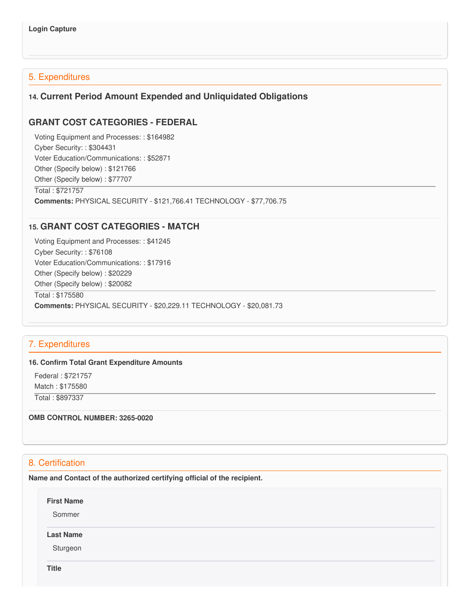# 5. Expenditures

# **14. Current Period Amount Expended and Unliquidated Obligations**

# **GRANT COST CATEGORIES - FEDERAL**

 Voting Equipment and Processes: : \$164982 Cyber Security: : \$304431 Voter Education/Communications: : \$52871 Other (Specify below) : \$121766 Other (Specify below) : \$77707 Total : \$721757

**Comments:** PHYSICAL SECURITY - \$[121,766.41](https://121,766.41) TECHNOLOGY - \$[77,706.75](https://77,706.75)

# **15. GRANT COST CATEGORIES - MATCH**

 Voting Equipment and Processes: : \$41245 Cyber Security: : \$76108 Voter Education/Communications: : \$17916 Other (Specify below) : \$20229 Other (Specify below) : \$20082 Total : \$175580 **Comments:** PHYSICAL SECURITY - \$[20,229.11](https://20,229.11) TECHNOLOGY - [\\$20,081.73](https://20,081.73)

# 7. Expenditures

#### **16. Confirm Total Grant Expenditure Amounts**

 Federal : \$721757 Match : \$175580 Total : \$897337

 **OMB CONTROL NUMBER: 3265-0020**

# 8. Certification

 **Name and Contact of the authorized certifying official of the recipient.**

**First Name**

Sommer

#### **Last Name**

Sturgeon

**Title**